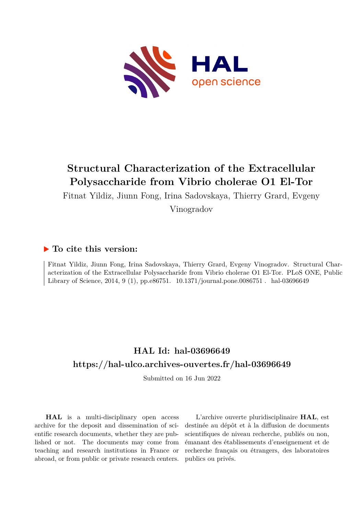

# **Structural Characterization of the Extracellular Polysaccharide from Vibrio cholerae O1 El-Tor**

Fitnat Yildiz, Jiunn Fong, Irina Sadovskaya, Thierry Grard, Evgeny

Vinogradov

### **To cite this version:**

Fitnat Yildiz, Jiunn Fong, Irina Sadovskaya, Thierry Grard, Evgeny Vinogradov. Structural Characterization of the Extracellular Polysaccharide from Vibrio cholerae O1 El-Tor. PLoS ONE, Public Library of Science, 2014, 9 (1), pp.e86751. 10.1371/journal.pone.0086751. hal-03696649

## **HAL Id: hal-03696649 <https://hal-ulco.archives-ouvertes.fr/hal-03696649>**

Submitted on 16 Jun 2022

**HAL** is a multi-disciplinary open access archive for the deposit and dissemination of scientific research documents, whether they are published or not. The documents may come from teaching and research institutions in France or abroad, or from public or private research centers.

L'archive ouverte pluridisciplinaire **HAL**, est destinée au dépôt et à la diffusion de documents scientifiques de niveau recherche, publiés ou non, émanant des établissements d'enseignement et de recherche français ou étrangers, des laboratoires publics ou privés.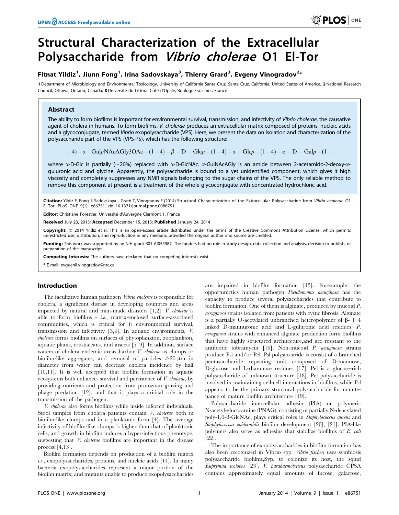# Structural Characterization of the Extracellular Polysaccharide from Vibrio cholerae O1 El-Tor

### Fitnat Yildiz<sup>1</sup>, Jiunn Fong<sup>1</sup>, Irina Sadovskaya<sup>3</sup>, Thierry Grard<sup>3</sup>, Evgeny Vinogradov<sup>2</sup>\*

1 Department of Microbiology and Environmental Toxicology, University of California Santa Cruz, Santa Cruz, California, United States of America, 2 National Research Council, Ottawa, Ontario, Canada, 3 Université du Littoral-Côte d'Opale, Boulogne-sur-mer, France

#### Abstract

The ability to form biofilms is important for environmental survival, transmission, and infectivity of Vibrio cholerae, the causative agent of cholera in humans. To form biofilms, V. cholerae produces an extracellular matrix composed of proteins, nucleic acids and a glycoconjugate, termed Vibrio exopolysaccharide (VPS). Here, we present the data on isolation and characterization of the polysaccharide part of the VPS (VPS-PS), which has the following structure:

 $(-4)-\alpha$  - GulpNAcAGly3OAc -  $(1-4)-\beta$  - D - Glcp -  $(1-4)-\alpha$  - Glcp -  $(1-4)-\alpha$  - D - Galp -  $(1-$ 

where  $\alpha$ -D-Glc is partially ( $\sim$ 20%) replaced with  $\alpha$ -D-GlcNAc.  $\alpha$ -GulNAcAGly is an amide between 2-acetamido-2-deoxy- $\alpha$ guluronic acid and glycine. Apparently, the polysaccharide is bound to a yet unidentified component, which gives it high viscosity and completely suppresses any NMR signals belonging to the sugar chains of the VPS. The only reliable method to remove this component at present is a treatment of the whole glycoconjugate with concentrated hydrochloric acid.

Citation: Yildiz F, Fong J, Sadovskaya I, Grard T, Vinogradov E (2014) Structural Characterization of the Extracellular Polysaccharide from Vibrio cholerae O1 El-Tor. PLoS ONE 9(1): e86751. doi:10.1371/journal.pone.0086751

Editor: Christiane Forestier, Université d'Auvergne Clermont 1, France

Received July 23, 2013; Accepted December 15, 2013; Published January 24, 2014

Copyright: © 2014 Yildiz et al. This is an open-access article distributed under the terms of the Creative Commons Attribution License, which permits unrestricted use, distribution, and reproduction in any medium, provided the original author and source are credited.

Funding: This work was supported by an NIH grant R01-AI055987. The funders had no role in study design, data collection and analysis, decision to publish, or preparation of the manuscript.

Competing Interests: The authors have declared that no competing interests exist.

\* E-mail: evguenii.vinogradov@nrc.ca

#### Introduction

The facultative human pathogen Vibrio cholerae is responsible for cholera, a significant disease in developing countries and areas impacted by natural and man-made disasters [1,2]. V. cholerae is able to form biofilms - i.e., matrix-enclosed surface-associated communities, which is critical for it environmental survival, transmission and infectivity [3,4]. In aquatic environments, V. cholerae forms biofilms on surfaces of phytoplankton, zooplankton, aquatic plants, crustaceans, and insects [5–9]. In addition, surface waters of cholera endemic areas harbor V. cholerae as clumps or biofilm-like aggregates, and removal of particles  $>20 \mu m$  in diameter from water can decrease cholera incidence by half [10,11]. It is well accepted that biofilm formation in aquatic ecosystems both enhances survival and persistence of V. cholerae, by providing nutrients and protection from protozoan grazing and phage predation [12], and that it plays a critical role in the transmission of the pathogen.

V. cholerae also forms biofilms while inside infected individuals. Stool samples from cholera patients contain V. cholerae both in biofilm-like clumps and in a planktonic form [4]. The average infectivity of biofilm-like clumps is higher than that of planktonic cells, and growth in biofilm induces a hyper-infectious phenotype, suggesting that V. cholerae biofilms are important in the disease process [4,13].

Biofilm formation depends on production of a biofilm matrix i.e., exopolysaccharides, proteins, and nucleic acids [14]. In many bacteria exopolysaccharides represent a major portion of the biofilm matrix; and mutants unable to produce exopolysaccharides are impaired in biofilm formation [15]. Forexample, the opportunictics human pathogen Pseudomonas aeruginosa has the capacity to produce several polysaccharides that contribute to biofilm formation. One of them is alginate, produced by mucoid P. aeruginosa strains isolated from patients with cystic fibrosis. Alginate is a partially O-acetylated unbranched heteropolymer of  $\beta$ - 1–4 linked D-mannuronic acid and L-guluronic acid residues. P. aeruginosa strains with enhanced alginate production form biofilms that have highly structured architecture,and are resistant to the antibiotic tobramycin [16]. Non-mucoid P. aeruginosa strains produce Psl and/or Pel. Psl polysaccaride is consist of a branched pentasaccharide repeating unit composed of D-mannose, D-glucose and L-rhamnose residues [17]. Pel is a glucose-rich polysaccharide of unknown structure [18]. Pel polysaccharide is involved in maintaining cell-cell interactions in biofilms, while Psl appears to be the primary structural polysaccharide for maintenance of mature biofilm architecture [19].

Polysaccharide intercellular adhesin (PIA) or polymeric N-acetyl-glucosamine (PNAG), consisting of partially N-deacylated poly-1,6-b-GlcNAc, plays critical roles in Staphylococcus aureus and Staphylococcus epidermidis biofilm development [20], [21]. PIA-like polymers also serve as adhesins that stabilize biofilms of E. coli [22].

The importance of exopolysaccharides in biofilm formation has also been recognized in Vibrio spp. Vibrio fischeri uses symbiosis polysaccharide biofilms,Syp, to colonize its host, the squid Euprymna scolopes [23]. V. parahaemolyticus polysaccharide CPSA contains approximately equal amounts of fucose, galactose,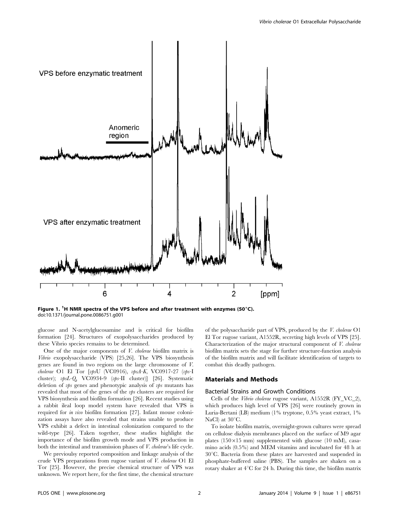

Figure 1. <sup>1</sup>H NMR spectra of the VPS before and after treatment with enzymes (50°C). doi:10.1371/journal.pone.0086751.g001

glucose and N-acetylglucosamine and is critical for biofilm formation [24]. Structures of exopolysaccharides produced by these Vibrio species remains to be determined.

One of the major components of V. cholerae biofilm matrix is Vibrio exopolysaccharide (VPS) [25,26]. The VPS biosynthesis genes are found in two regions on the large chromosome of V. cholerae O1 El Tor [vpsU (VC0916), vpsA-K, VC0917-27 (vps-I cluster); vpsL-Q, VC0934-9 (vps-II cluster)] [26]. Systematic deletion of *vps* genes and phenotypic analysis of *vps* mutants has revealed that most of the genes of the *vps* clusters are required for VPS biosynthesis and biofilm formation [26]. Recent studies using a rabbit ileal loop model system have revealed that VPS is required for in vivo biofilm formation [27]. Infant mouse colonization assays have also revealed that strains unable to produce VPS exhibit a defect in intestinal colonization compared to the wild-type [26]. Taken together, these studies highlight the importance of the biofilm growth mode and VPS production in both the intestinal and transmission phases of V. cholerae's life cycle.

We previoulsy reported composition and linkage analysis of the crude VPS preparations from rugose variant of V. cholerae O1 El Tor [25]. However, the precise chemical structure of VPS was unknown. We report here, for the first time, the chemical structure

of the polysaccharide part of VPS, produced by the V. cholerae O1 El Tor rugose variant, A1552R, secreting high levels of VPS [25]. Characterization of the major structural component of V. cholerae biofilm matrix sets the stage for further structure-function analysis of the biofilm matrix and will facilitate identification of targets to combat this deadly pathogen.

#### Materials and Methods

#### Bacterial Strains and Growth Conditions

Cells of the Vibrio cholerae rugose variant, A1552R (FY\_VC\_2), which produces high level of VPS [26] were routinely grown in Luria-Bertani (LB) medium (1% tryptone, 0.5% yeast extract, 1% NaCl) at  $30^{\circ}$ C.

To isolate biofilm matrix, overnight-grown cultures were spread on cellulose dialysis membranes placed on the surface of M9 agar plates (150 $\times$ 15 mm) supplemented with glucose (10 mM), casamino acids (0.5%) and MEM vitamins and incubated for 48 h at  $30^{\circ}$ C. Bacteria from these plates are harvested and suspended in phosphate-buffered saline (PBS). The samples are shaken on a rotary shaker at  $4^{\circ}$ C for 24 h. During this time, the biofilm matrix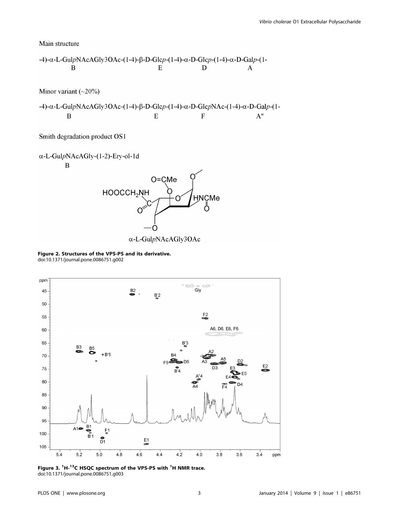Main structure

$$
-4)-\alpha - L-GulpNAcAGly3OAc-(1-4)-\beta - D-Glcp-(1-4)-\alpha - D-Glcp-(1-4)-\alpha - D-Galp-(1-4)-\alpha - D-Galp-(1-4)-\alpha - D-Galp-(1-4)-\alpha - D-Galp-(1-4)-\alpha - D-Galp-(1-4)-\alpha - D-Galp-(1-4)-\alpha - D-Galp-(1-4)-\alpha - D-Galp-(1-4)-\alpha - D-Galp-(1-4)-\alpha - D-Galp-(1-4)-\alpha - D-Galp-(1-4)-\alpha - D-Galp-(1-4)-\alpha - D-Galp-(1-4)-\alpha - D-Galp-(1-4)-\alpha - D-Galp-(1-4)-\alpha - D-Galp-(1-4)-\alpha - D-Galp-(1-4)-\alpha - D-Galp-(1-4)-\alpha - D-Galp-(1-4)-\alpha - D-Galp-(1-4)-\alpha - D-Galp-(1-4)-\alpha - D-Galp-(1-4)-\alpha - D-Galp-(1-4)-\alpha - D-Galp-(1-4)-\alpha - D-Galp-(1-4)-\alpha - D-Galp-(1-4)-\alpha - D-Galp-(1-4)-\alpha - D-Galp-(1-4)-\alpha - D-Galp-(1-4)-\alpha - D-Galp-(1-4)-\alpha - D-Galp-(1-4)-\alpha - D-Galp-(1-4)-\alpha - D-Galp-(1-4)-\alpha - D-Galp-(1-4)-\alpha - D-Galp-(1-4)-\alpha - D-Galp-(1-4)-\alpha - D-Galp-(1-4)-\alpha - D-Galp-(1-4)-\alpha - D-Galp-(1-4)-\alpha - D-Galp-(1-4)-\alpha - D-Galp-(1-4)-\alpha - D-Galp-(1-4)-\alpha - D-Galp-(1-4)-\alpha - D-Galp-(1-4)-\alpha - D-Galp-(1-4)-\alpha - D-Galp-(1-4)-\alpha - D-Galp-(1-4)-\alpha - D-Galp-(1-4)-\alpha - D-Galp-(1-4)-\alpha - D-Galp-(1-4)-\alpha - D-Galp-(1-4)-\alpha - D-Galp-(1-4)-\alpha - D-Galp-(1-4)-\alpha - D-Galp-(1-4)-\alpha - D-Galp-(1-4)-\alpha - D-Galp-(1-4)-\alpha - D-Galp-(1-4)-\alpha - D-Galp-(1-4)-\alpha - D-Galp-(1-4)-\alpha - D-Gal
$$

Minor variant  $(\sim 20\%)$ 

-4)-α-L-GulpNAcAGly3OAc-(1-4)-β-D-Glcp-(1-4)-α-D-GlcpNAc-(1-4)-α-D-Galp-(1- $\overline{E}$  $\overline{F}$  $A''$  $\, {\bf B}$ 

Smith degradation product OS1

Figure 2. Structures of the VPS-PS and its derivative. doi:10.1371/journal.pone.0086751.g002



Figure 3. <sup>1</sup>H-<sup>13</sup>C HSQC spectrum of the VPS-PS with <sup>1</sup>H NMR trace. doi:10.1371/journal.pone.0086751.g003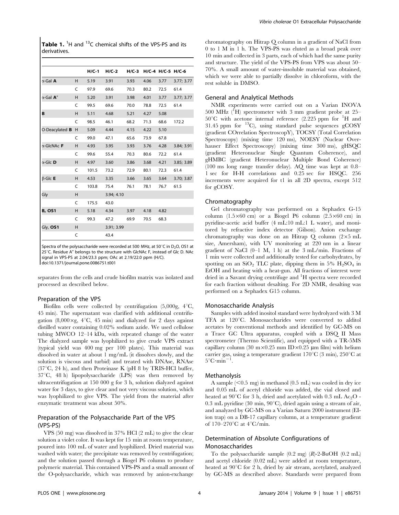| <b>Table 1.</b> <sup>1</sup> H and <sup>13</sup> C chemical shifts of the VPS-PS and its |  |  |  |  |
|------------------------------------------------------------------------------------------|--|--|--|--|
| derivatives.                                                                             |  |  |  |  |

|                          |   | $H/C-1$ | $H/C-2$    | $H/C-3$ |      | H/C-4 H/C-5 H/C-6 |            |
|--------------------------|---|---------|------------|---------|------|-------------------|------------|
| $\alpha$ -Gal A          | H | 5.19    | 3.91       | 3.93    | 4.06 | 3.77              | 3.77; 3.77 |
|                          | C | 97.9    | 69.6       | 70.3    | 80.2 | 72.5              | 61.4       |
| $\alpha$ -Gal <b>A</b> " | H | 5.20    | 3.91       | 3.98    | 4.01 | 3.77              | 3.77; 3.77 |
|                          | C | 99.5    | 69.6       | 70.0    | 78.8 | 72.5              | 61.4       |
| B                        | Η | 5.11    | 4.68       | 5.21    | 4.27 | 5.08              |            |
|                          | C | 98.5    | 46.1       | 68.2    | 71.3 | 68.6              | 172.2      |
| O-Deacylated <b>B</b>    | H | 5.09    | 4.44       | 4.15    | 4.22 | 5.10              |            |
|                          | C | 99.0    | 47.1       | 65.6    | 73.9 | 67.8              |            |
| α-GlcNAc F               | H | 4.93    | 3.95       | 3.93    | 3.76 | 4.28              | 3.84; 3.91 |
|                          | C | 99.6    | 55.4       | 70.3    | 80.6 | 72.2              | 61.4       |
| $\alpha$ -Glc <b>D</b>   | H | 4.97    | 3.60       | 3.86    | 3.68 | 4.21              | 3.85; 3.89 |
|                          | C | 101.5   | 73.2       | 72.9    | 80.1 | 72.3              | 61.4       |
| $\beta$ -Glc <b>E</b>    | H | 4.53    | 3.35       | 3.66    | 3.65 | 3.64              | 3.70; 3.87 |
|                          | C | 103.8   | 75.4       | 76.1    | 78.1 | 76.7              | 61.5       |
| Gly                      | H |         | 3.94; 4.10 |         |      |                   |            |
|                          | C | 175.5   | 43.0       |         |      |                   |            |
| <b>B, OS1</b>            | H | 5.18    | 4.34       | 3.97    | 4.18 | 4.82              |            |
|                          | C | 99.3    | 47.2       | 69.9    | 70.5 | 68.3              |            |
| Gly, OS1                 | H |         | 3.91; 3.99 |         |      |                   |            |
|                          | C |         | 43.4       |         |      |                   |            |

Spectra of the polysaccharide were recorded at 500 MHz, at 50 $^{\circ}$ C in D<sub>2</sub>O, OS1 at 25°C. Residue A" belongs to the structure with GlcNAc F, instead of Glc D. NAc signal in VPS-PS at 2.04/23.3 ppm; OAc at 2.19/22.0 ppm (H/C). doi:10.1371/journal.pone.0086751.t001

separates from the cells and crude biofilm matrix was isolated and processed as described below.

#### Preparation of the VPS

Biofilm cells were collected by centrifugation  $(5,000g, 4\degree C,$ 45 min). The supernatant was clarified with additional centrifugation (8,000 $\times$ g, 4°C, 45 min) and dialyzed for 2 days against distilled water containing 0.02% sodium azide. We used cellulose tubing MWCO 12–14 kDa, with repeated change of the water The dialyzed sample was lyophilized to give crude VPS extract (typical yield was 400 mg per 100 plates). This material was dissolved in water at about 1 mg/mL (it dissolves slowly, and the solution is viscous and turbid) and treated with DNAse, RNAse  $(37^{\circ}C, 24 h)$ , and then Proteinase K (pH 8 by TRIS-HCl buffer,  $37^{\circ}$ C, 48 h) lipopolysaccharide (LPS) was then removed by ultracentrifugation at 150 000 g for 3 h, solution dialyzed against water for 3 days, to give clear and not very viscous solution, which was lyophilized to give VPS. The yield from the material after enzymatic treatment was about 50%.

#### Preparation of the Polysaccharide Part of the VPS (VPS-PS)

VPS (50 mg) was dissolved in 37% HCl (2 mL) to give the clear solution a violet color. It was kept for 15 min at room temperature, poured into 100 mL of water and lyophilized. Dried material was washed with water; the precipitate was removed by centrifugation; and the solution passed through a Biogel P6 column to produce polymeric material. This contained VPS-PS and a small amount of the O-polysaccharide, which was removed by anion-exchange

chromatography on Hitrap Q column in a gradient of NaCl from 0 to 1 M in 1 h. The VPS-PS was eluted as a broad peak over 10 min and collected in 3 parts, each of which had the same purity and structure. The yield of the VPS-PS from VPS was about 50– 70%. A small amount of water-insoluble material was obtained, which we were able to partially dissolve in chloroform, with the rest soluble in DMSO.

#### General and Analytical Methods

NMR experiments were carried out on a Varian INOVA 500 MHz  $(^{f}H)$  spectrometer with 3 mm gradient probe at 25- $50^{\circ}$ C with acetone internal reference (2.225 ppm for <sup>1</sup>H and 31.45 ppm for  ${}^{13}$ C), using standard pulse sequences gCOSY (gradient COrrelation SpectroscopY), TOCSY (Total Correlation Spectroscopy) (mixing time 120 ms), NOESY (Nuclear Overhauser Effect Spectroscopy) (mixing time 300 ms), gHSQC (gradient Heteronuclear Single Quantum Coherence), and gHMBC (gradient Heteronuclear Multiple Bond Coherence) (100 ms long range transfer delay). AQ time was kept at 0.8– 1 sec for H-H correlations and 0.25 sec for HSQC. 256 increments were acquired for t1 in all 2D spectra, except 512 for gCOSY.

#### Chromatography

Gel chromatography was performed on a Sephadex G-15 column  $(1.5\times60$  cm) or a Biogel P6 column  $(2.5\times60$  cm) in pyridine-acetic acid buffer (4 mL:10 mL:1 L water), and monitored by refractive index detector (Gilson). Anion exchange chromatography was done on an Hitrap  $Q$  column  $(2\times5 \text{ mL})$ size, Amersham), with UV monitoring at 220 nm in a linear gradient of NaCl (0–1 M, 1 h) at the 3 mL/min. Fractions of 1 min were collected and additionally tested for carbohydrates, by spotting on an  $SiO_2$  TLC plate, dipping them in 5%  $H_2SO_4$  in EtOH and heating with a heat-gun. All fractions of interest were dried in a Savant drying centrifuge and <sup>1</sup>H spectra were recorded for each fraction without desalting. For 2D NMR, desalting was performed on a Sephadex G15 column.

#### Monosaccharide Analysis

Samples with added inositol standard were hydrolyzed with 3 M TFA at 120°C. Monosaccharides were converted to alditol acetates by conventional methods and identified by GC-MS on a Trace GC Ultra apparatus, coupled with a DSQ II Mass spectrometer (Thermo Scientific), and equipped with a TR-5MS capillary column (30 m $\times$ 0.25 mm ID $\times$ 0.25 µm film) with helium carrier gas, using a temperature gradient  $170^{\circ}$ C (3 min),  $250^{\circ}$ C at  $5^{\circ}$ C·min<sup>-1</sup> .

#### Methanolysis

A sample  $(< 0.5$  mg) in methanol  $(0.5$  mL) was cooled in dry ice and 0.05 mL of acetyl chloride was added, the vial closed and heated at  $90^{\circ}$ C for 3 h, dried and acetylated with 0.3 mL Ac<sub>2</sub>O -0.3 mL pyridine (30 min,  $90^{\circ}$ C), dried again using a stream of air, and analyzed by GC-MS on a Varian Saturn 2000 instrument (EIion trap) on a DB-17 capillary column, at a temperature gradient of  $170-270$ °C at  $4$ °C/min.

#### Determination of Absolute Configurations of Monosaccharides

To the polysaccharide sample  $(0.2 \text{ mg})$   $(R)$ -2-BuOH  $(0.2 \text{ mL})$ and acetyl chloride (0.02 mL) were added at room temperature, heated at  $90^{\circ}$ C for 2 h, dried by air stream, acetylated, analyzed by GC-MS as described above. Standards were prepared from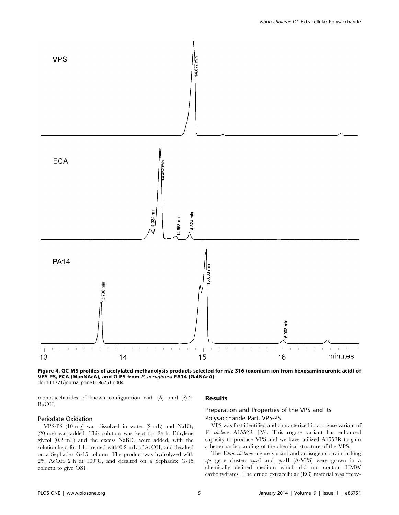

Figure 4. GC-MS profiles of acetylated methanolysis products selected for m/z 316 (oxonium ion from hexosaminouronic acid) of VPS-PS, ECA (ManNAcA), and O-PS from P. aeruginosa PA14 (GalNAcA). doi:10.1371/journal.pone.0086751.g004

monosaccharides of known configuration with  $(R)$ - and  $(S)$ -2-BuOH.

Periodate Oxidation VPS-PS (10 mg) was dissolved in water (2 mL) and NaIO4 (20 mg) was added. This solution was kept for 24 h. Ethylene glycol (0.2 mL) and the excess NaBD4 were added, with the solution kept for 1 h, treated with 0.2 mL of AcOH, and desalted on a Sephadex G-15 column. The product was hydrolyzed with  $2\%$  AcOH 2 h at 100°C, and desalted on a Sephadex G-15 column to give OS1.

#### Results

#### Preparation and Properties of the VPS and its Polysaccharide Part, VPS-PS

VPS was first identified and characterized in a rugose variant of V. cholerae A1552R [25]. This rugose variant has enhanced capacity to produce VPS and we have utilized A1552R to gain a better understanding of the chemical structure of the VPS.

The Vibrio cholerae rugose variant and an isogenic strain lacking vps gene clusters vps-I and vps-II  $(\Delta$ -VPS) were grown in a chemically defined medium which did not contain HMW carbohydrates. The crude extracellular (EC) material was recov-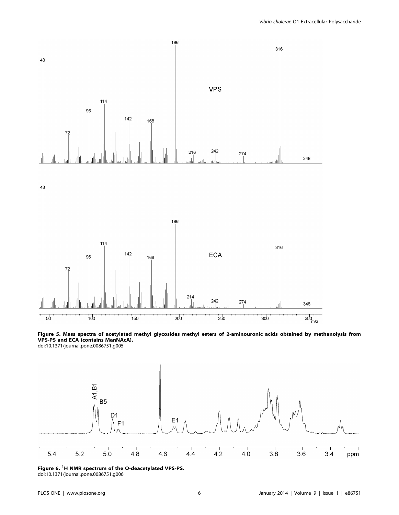





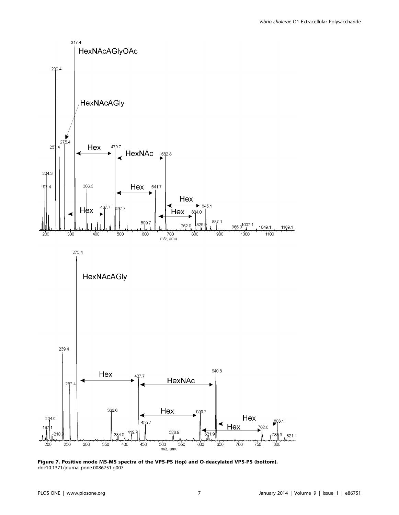

Figure 7. Positive mode MS-MS spectra of the VPS-PS (top) and O-deacylated VPS-PS (bottom). doi:10.1371/journal.pone.0086751.g007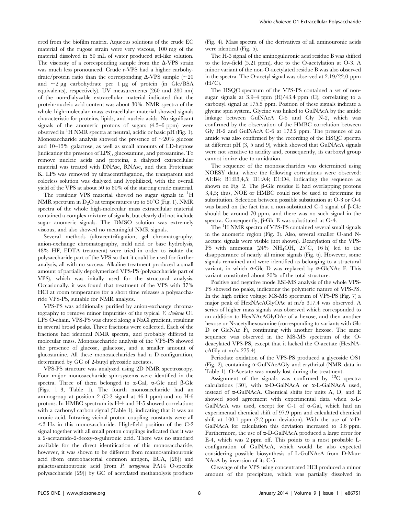ered from the biofilm matrix. Aqueous solutions of the crude EC material of the rugose strain were very viscous, 100 mg of the material dissolved in 50 mL of water produced gel-like solution. The viscosity of a corresponding sample from the  $\Delta$ -VPS strain was much less pronounced. Crude r-VPS had a higher carbohydrate/protein ratio than the corresponding  $\Delta$ -VPS sample (~20) and  $\sim$ 2  $\mu$ g carbohydrate per 1  $\mu$ g of protein (in Glc/BSA equivalents), respectively). UV measurements (260 and 280 nm) of the non-dialyzable extracellular material indicated that the protein-nucleic acid content was about 30%. NMR spectra of the whole high-molecular mass extracellular material showed signals characteristic for proteins, lipids, and nucleic acids. No significant signals of the anomeric protons of sugars (4.5–6 ppm) were observed in <sup>1</sup> H NMR spectra at neutral, acidic or basic pH (Fig. 1). Monosaccharide analysis showed the presence of  $\sim 20\%$  glucose and 10–15% galactose, as well as small amounts of LD-heptose (indicating the presence of LPS), glucosamine, and perosamine. To remove nucleic acids and proteins, a dialyzed extracellular material was treated with DNAse, RNAse, and then Proteinase K. LPS was removed by ultracentrifugation, the transparent and colorless solution was dialyzed and lyophilized, with the overall yield of the VPS at about 50 to 80% of the starting crude material.

The resulting VPS material showed no sugar signals in <sup>1</sup>H NMR spectrum in  $D_2O$  at temperatures up to 50<sup>°</sup>C (Fig. 1). NMR spectra of the whole high-molecular mass extracellular material contained a complex mixture of signals, but clearly did not include sugar anomeric signals. The DMSO solution was extremely viscous, and also showed no meaningful NMR signals.

Several methods (ultracentrifugation, gel chromatography, anion-exchange chromatography, mild acid or base hydrolysis, 48% HF, EDTA treatment) were tried in order to isolate the polysaccharide part of the VPS so that it could be used for further analysis, all with no success. Alkaline treatment produced a small amount of partially depolymerized VPS-PS (polysaccharide part of VPS), which was initally used for the structural analysis. Occasionally, it was found that treatment of the VPS with 37% HCl at room temperature for a short time releases a polysaccharide VPS-PS, suitable for NMR analysis.

VPS-PS was additionally purified by anion-exchange chromatography to remove minor impurities of the typical V. cholerae O1 LPS O-chain. VPS-PS was eluted along a NaCl gradient, resulting in several broad peaks. Three fractions were collected. Each of the fractions had identical NMR spectra, and probably differed in molecular mass. Monosaccharide analysis of the VPS-PS showed the presence of glucose, galactose, and a smaller amount of glucosamine. All these monosaccharides had a D-configuration, determined by GC of 2-butyl glycoside acetates.

VPS-PS structure was analyzed using 2D NMR spectroscopy. Four major monosaccharide spin-systems were identified in the spectra. Three of them belonged to  $\alpha$ -Gal,  $\alpha$ -Glc and  $\beta$ -Glc (Figs. 1–3, Table 1). The fourth monosaccharide had an aminogroup at position 2 (C-2 signal at 46.1 ppm) and no H-6 protons. In HMBC spectrum its H-4 and H-5 showed correlations with a carbonyl carbon signal (Table 1), indicating that it was an uronic acid. Intraring vicinal proton coupling constants were all  $\leq$  3 Hz in this monosaccharide. High-field position of the C-2 signal together with all small proton couplings indicated that it was a 2-acetamido-2-deoxy-a-guluronic acid. There was no standard available for the direct identification of this monosaccharide, however, it was shown to be different from mannosaminouronic acid (from enterobacterial common antigen, ECA, [28]) and galactosaminouronic acid (from P. aeruginosa PA14 O-specific polysaccharide [29]) by GC of acetylated methanolysis products (Fig. 4). Mass spectra of the derivatives of all aminouronic acids were identical (Fig. 5).

The H-3 signal of the aminoguluronic acid residue B was shifted to the low-field (5.21 ppm), due to the O-acetylation at O-3. A minor variant of the non-O-acetylated residue B was also observed in the spectra. The O-acetyl signal was observed at 2.19/22.0 ppm  $(H/C)$ .

The HSQC spectrum of the VPS-PS contained a set of nonsugar signals at  $3.9-4$  ppm  $(H)/43.4$  ppm  $(C)$ , correlating to a carbonyl signal at 175.5 ppm. Position of these signals indicate a glycine spin system. Glycine was linked to GulNAcA by the amide linkage between GulNAcA C-6 and Gly N-2, which was confirmed by the observation of the HMBC correlation between Gly H-2 and GulNAcA C-6 at 172.2 ppm. The presence of an amide was also confirmed by the recording of the HSQC spectra at different pH (3, 5 and 9), which showed that GulNAcA signals were not sensitive to acidity and, consequently, its carboxyl group cannot ionize due to amidation.

The sequence of the monosaccharides was determined using NOESY data, where the following correlations were observed: A1:B4; B1:E3,4,5; D1:A4; E1:D4, indicating the sequence as shown on Fig. 2. The  $\beta$ -Glc residue E had overlapping protons 3,4,5; thus, NOE or HMBC could not be used to determine its substitution. Selection between possible substitution at O-3 or O-4 was based on the fact that a non-substituted C-4 signal of  $\beta$ -Glc should be around 70 ppm, and there was no such signal in the spectra. Consequently,  $\beta$ -Glc E was substituted at O-4.

The <sup>1</sup>H NMR spectra of VPS-PS contained several small signals in the anomeric region (Fig. 3). Also, several smaller O-and Nacetate signals were visible (not shown). Deacylation of the VPS-PS with ammonia  $(24\% \text{ NH}_4\text{OH}, 25\degree\text{C}, 16 \text{ h})$  led to the disappearance of nearly all minor signals (Fig. 6). However, some signals remained and were identified as belonging to a structural variant, in which  $\alpha$ -Glc D was replaced by  $\alpha$ -GlcNAc F. This variant constituted about 20% of the total structure.

Positive and negative mode ESI-MS analysis of the whole VPS-PS showed no peaks, indicating the polymeric nature of VPS-PS. In the high orifice voltage MS-MS spectrum of VPS-PS (Fig. 7) a major peak of HexNAcAGlyOAc at m/z 317.4 was observed. A series of higher mass signals was observed which corresponded to an addition to HexNAcAGlyOAc of a hexose, and then another hexose or N-acetylhexosamine (corresponding to variants with Glc D or GlcNAc F), continuing with another hexose. The same sequence was observed in the MS-MS spectrum of the Odeacylated VPS-PS, except that it lacked the O-acetate (HexNAcAGly at m/z 275.4).

Periodate oxidation of the VPS-PS produced a glycoside OS1 (Fig. 2), containing a-GulNAcAGly and erythritol (NMR data in Table 1). O-Acetate was mostly lost during the treatment.

Assignment of the signals was confirmed by  $^{13}$ C spectra calculations [30], with  $\alpha$ -D-GalNAcA or  $\alpha$ -L-GalNAcA used, instead of  $\alpha$ -GulNAcA. Chemical shifts for units A, D, and E showed good agreement with experimental data when  $\alpha$ -L-GalNAcA was used, except for C-1 of  $\alpha$ -Gal, which had an experimental chemical shift of 97.9 ppm and calculated chemical shift at 100.1 ppm (2.2 ppm deviation). With the use of  $\alpha$ -D-GalNAcA for calculation this deviation increased to 3.6 ppm. Furthermore, the use of a-D-GalNAcA produced a large error for E-4, which was 2 ppm off. This points to a most probable Lconfiguration of GulNAcA, which would be also expected considering possible biosynthesis of L-GulNAcA from D-Man-NAcA by inversion of its C-5.

Cleavage of the VPS using concentrated HCl produced a minor amount of the precipitate, which was partially dissolved in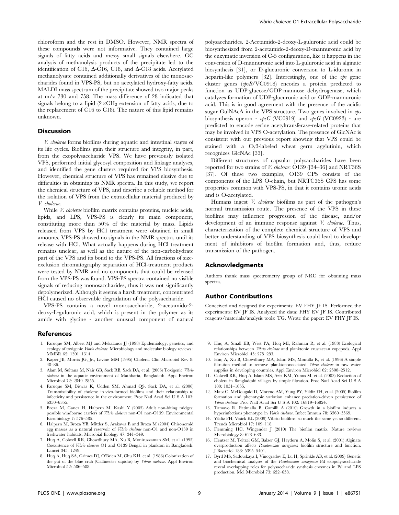chloroform and the rest in DMSO. However, NMR spectra of these compounds were not informative. They contained large signals of fatty acids and messy small signals elsewhere. GC analysis of methanolysis products of the precipitate led to the identification of C16,  $\Delta$ -C16, C18, and  $\Delta$ -C18 acids. Acetylated methanolysate contained additionally derivatives of the monosaccharides found in VPS-PS, but no acetylated hydroxy-fatty acids. MALDI mass spectrum of the precipitate showed two major peaks at m/z 730 and 758. The mass difference of 28 indicated that signals belong to a lipid  $(2\times\text{CH}_2)$  extension of fatty acids, due to the replacement of C16 to C18). The nature of this lipid remains unknown.

#### Discussion

V. cholerae forms biofilms during aquatic and intestinal stages of its life cycles. Biofilms gain their structure and integrity, in part, from the exopolysaccharide VPS. We have previously isolated VPS, performed initial glycosyl composition and linkage analyses, and identified the gene clusters required for VPS biosynthesis. However, chemical structure of VPS has remained elusive due to difficulties in obtaining its NMR spectra. In this study, we report the chemical structure of VPS, and describe a reliable method for the isolation of VPS from the extracellular material produced by V. cholerae.

While *V. cholerae* biofilm matrix contains proteins, nucleic acids, lipids, and LPS, VPS-PS is clearly its main component, constituting more than 50% of the material by mass. Lipids released from VPS by HCl treatment were obtained in small amounts. VPS-PS showed no signals in the NMR spectra, until its release with HCl. What actually happens during HCl treatment remains unclear, as well as the nature of the non-carbohydrate part of the VPS and its bond to the VPS-PS. All fractions of sizeexclusion chromatography separation of HCl-treatment products were tested by NMR and no components that could be released from the VPS-PS was found. VPS-PS spectra contained no visible signals of reducing monosaccharides, thus it was not significantly depolymerized. Although it seems a harsh treatment, concentrated HCl caused no observable degradation of the polysaccharide.

VPS-PS contains a novel monosaccharide, 2-acetamido-2 deoxy-L-guluronic acid, which is present in the polymer as its amide with glycine - another unusual component of natural

#### References

- 1. Faruque SM, Albert MJ and Mekalanos JJ (1998) Epidemiology, genetics, and ecology of toxigenic Vibrio cholerae. Microbiology and molecular biology reviews : MMBR 62: 1301–1314.
- 2. Kaper JB, Morris JG, Jr., Levine MM (1995) Cholera. Clin Microbiol Rev 8: 48–86.
- 3. Alam M, Sultana M, Nair GB, Sack RB, Sack DA, et al. (2006) Toxigenic Vibrio cholerae in the aquatic environment of Mathbaria, Bangladesh. Appl Environ Microbiol 72: 2849–2855.
- 4. Faruque SM, Biswas K, Udden SM, Ahmad QS, Sack DA, et al. (2006) Transmissibility of cholera: in vivo-formed biofilms and their relationship to infectivity and persistence in the environment. Proc Natl Acad Sci U S A 103: 6350–6355.
- 5. Broza M, Gancz H, Halpern M, Kashi Y (2005) Adult non-biting midges: possible windborne carriers of Vibrio cholerae non-O1 non-O139. Environmental Eicrobiology 7: 576–585.
- 6. Halpern M, Broza YB, Mittler S, Arakawa E and Broza M (2004) Chironomid egg masses as a natural reservoir of Vibrio cholerae non-O1 and non-O139 in freshwater habitats. Microbial Ecology 47: 341–349.
- 7. Huq A, Colwell RR, Chowdhury MA, Xu B, Moniruzzaman SM, et al. (1995) Coexistence of Vibrio cholerae O1 and O139 Bengal in plankton in Bangladesh. Lancet 345: 1249.
- 8. Huq A, Huq SA, Grimes DJ, O'Brien M, Chu KH, et al. (1986) Colonization of the gut of the blue crab (Callinectes sapidus) by Vibrio cholerae. Appl Environ Microbiol 52: 586–588.

polysaccharides. 2-Acetamido-2-deoxy-L-guluronic acid could be biosynthesized from 2-acetamido-2-deoxy-D-mannuronic acid by the enzymatic inversion of C-5 configuration, like it happens in the conversion of D-mannuronic acid into L-guluronic acid in alginate biosynthesis [31], or D-glucuronic conversion to L-iduronic in heparin-like polymers [32]. Interestingly, one of the  $vps$  gene cluster genes (vpsB/VC0918) encodes a protein predicted to function as UDP-glucose/GDP-mannose dehydrogenase, which catalyzes formation of UDP-glucuronic acid or GDP-mannuronic acid. This is in good agreement with the presence of the acidic sugar GulNAcA in the VPS structure. Two genes involved in vps biosynthesis operon -  $vbsC$  (VC0919) and  $vbsG$  (VC0923) - are predicted to encode serine acetyltransferase-related proteins that may be involved in VPS O-acetylation. The presence of GlcNAc is consistent with our previous report showing that VPS could be stained with a Cy3-labeled wheat germ agglutinin, which recognizes GlcNAc [33].

Different structures of capsular polysaccharides have been reported for two strains of V. cholerae: O139 ([34–36] and NRT36S [37]. Of these two examples, O139 CPS consists of the components of the LPS O-chain, but NRTC36S CPS has some properties common with VPS-PS, in that it contains uronic acids and is O-acetylated.

Humans ingest V. cholerae biofilms as part of the pathogen's normal transmission route. The presence of the VPS in these biofilms may influence progression of the disease, and/or development of an immune response against *V. cholerae*. Thus, characterization of the complete chemical structure of VPS and better understanding of VPS biosynthesis could lead to development of inhibitors of biofilm formation and, thus, reduce transmission of the pathogen.

#### Acknowledgments

Authors thank mass spectrometry group of NRC for obtaining mass spectra.

#### Author Contributions

Conceived and designed the experiments: EV FHY JF IS. Performed the experiments: EV JF IS. Analyzed the data: FHY EV JF IS. Contributed reagents/materials/analysis tools: TG. Wrote the paper: EV FHY JF IS.

- 9. Huq A, Small EB, West PA, Huq MI, Rahman R, et al. (1983) Ecological relationships between Vibrio cholerae and planktonic crustacean copepods. Appl Environ Microbiol 45: 275–283.
- 10. Huq A, Xu B, Chowdhury MA, Islam MS, Montilla R, et al. (1996) A simple filtration method to remove plankton-associated Vibrio cholerae in raw water supplies in developing countries. Appl Environ Microbiol 62: 2508–2512.
- 11. Colwell RR, Huq A, Islam MS, Aziz KM, Yunus M, et al. (2003) Reduction of cholera in Bangladeshi villages by simple filtration. Proc Natl Acad Sci U S A 100: 1051–1055.
- 12. Matz C, McDougald D, Moreno AM, Yung PY, Yildiz FH, et al. (2005) Biofilm formation and phenotypic variation enhance predation-driven persistence of Vibrio cholerae. Proc Natl Acad Sci U S A 102: 16819–16824.
- 13. Tamayo R, Patimalla B, Camilli A (2010) Growth in a biofilm induces a hyperinfectious phenotype in Vibrio cholerae. Infect Immun 78: 3560–3569.
- 14. Yildiz FH, Visick KL (2009) Vibrio biofilms: so much the same yet so different. Trends Microbiol 17: 109–118.
- 15. Flemming HC, Wingender J (2010) The biofilm matrix. Nature reviews Microbiology 8: 623–633.
- 16. Hentzer M, Teitzel GM, Balzer GJ, Heydorn A, Molin S, et al. (2001) Alginate overproduction affects Pseudomonas aeruginosa biofilm structure and function. J Bacteriol 183: 5395–5401.
- 17. Byrd MS, Sadovskaya I, Vinogradov E, Lu H, Sprinkle AB, et al. (2009) Genetic and biochemical analyses of the Pseudomonas aeruginosa Psl exopolysaccharide reveal overlapping roles for polysaccharide synthesis enzymes in Psl and LPS production. Mol Microbiol 73: 622–638.